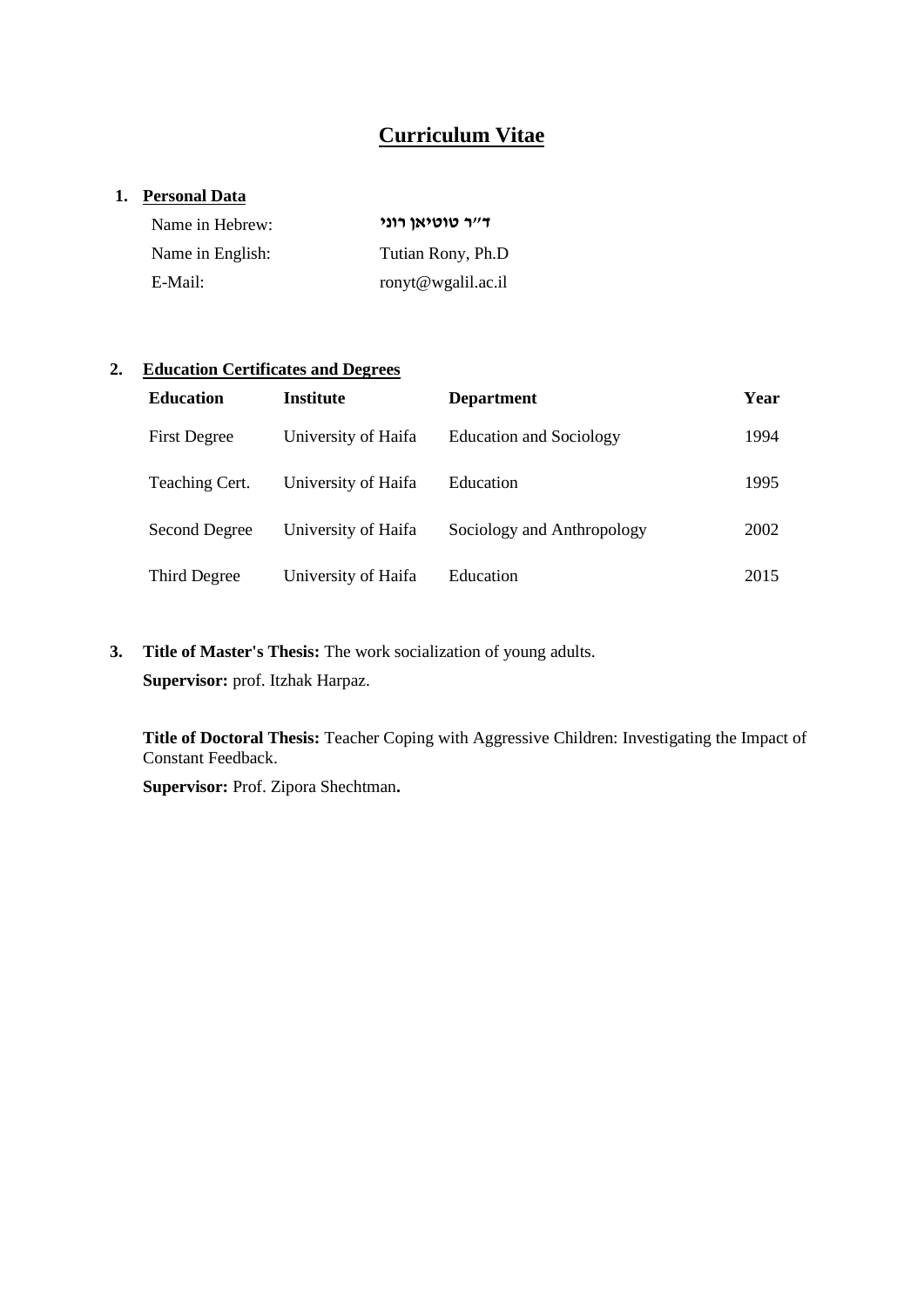# **Curriculum Vitae**

### **1. Personal Data**

| Name in Hebrew:  | ד״ר טוטיאן רוני    |  |  |
|------------------|--------------------|--|--|
| Name in English: | Tutian Rony, Ph.D  |  |  |
| E-Mail:          | ronyt@wgalil.ac.il |  |  |

### **2. Education Certificates and Degrees**

| <b>Education</b>    | Institute           | <b>Department</b>              | Year |
|---------------------|---------------------|--------------------------------|------|
| <b>First Degree</b> | University of Haifa | <b>Education and Sociology</b> | 1994 |
| Teaching Cert.      | University of Haifa | Education                      | 1995 |
| Second Degree       | University of Haifa | Sociology and Anthropology     | 2002 |
| Third Degree        | University of Haifa | Education                      | 2015 |

**3. Title of Master's Thesis:** The work socialization of young adults. **Supervisor:** prof. Itzhak Harpaz.

**Title of Doctoral Thesis:** Teacher Coping with Aggressive Children: Investigating the Impact of Constant Feedback.

**Supervisor:** Prof. Zipora Shechtman**.**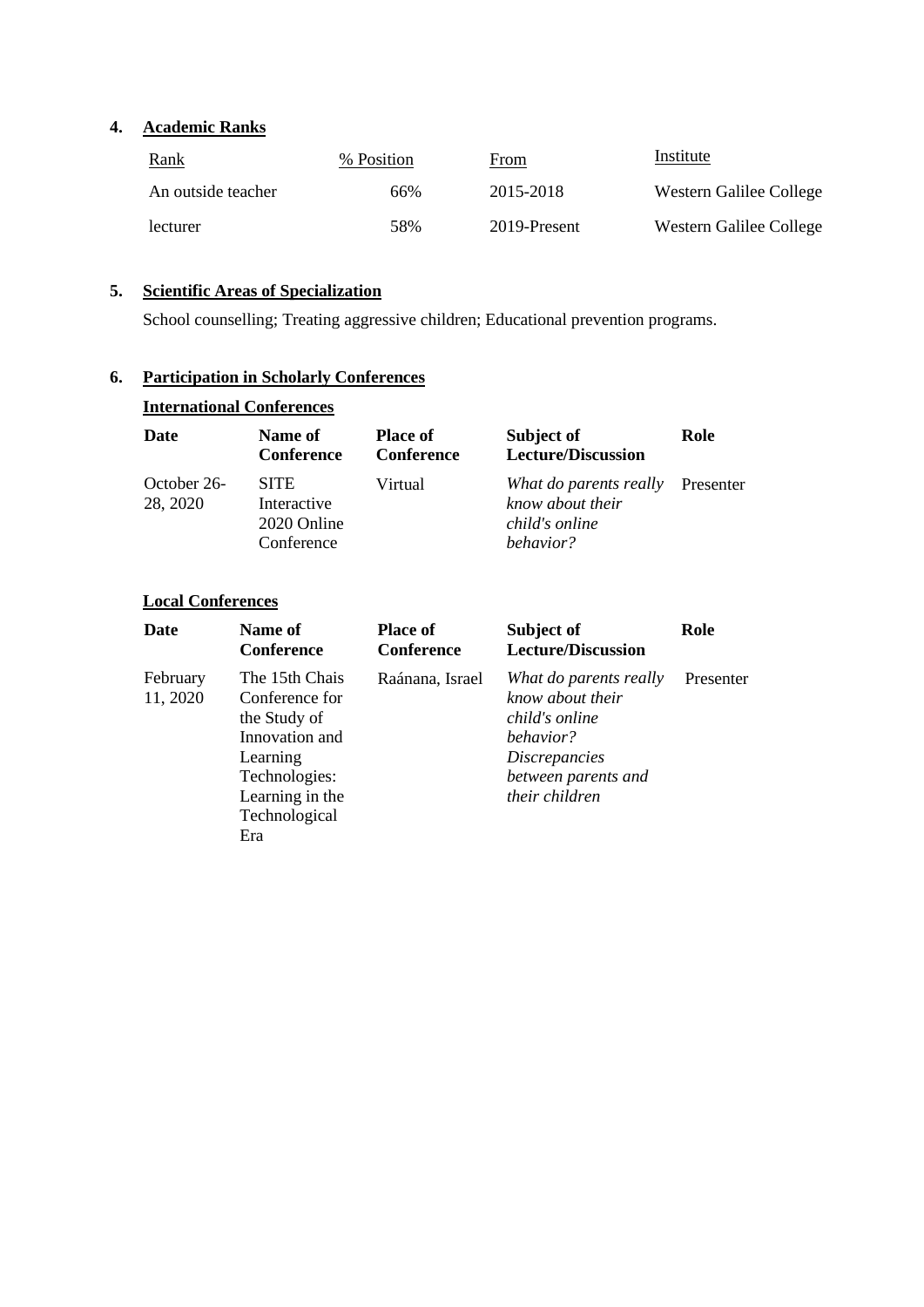### **4. Academic Ranks**

| <u>Rank</u>        | % Position | From         | Institute               |
|--------------------|------------|--------------|-------------------------|
| An outside teacher | 66%        | 2015-2018    | Western Galilee College |
| lecturer           | .58%       | 2019-Present | Western Galilee College |

# **5. Scientific Areas of Specialization**

School counselling; Treating aggressive children; Educational prevention programs.

# **6. Participation in Scholarly Conferences**

| <b>International Conferences</b> |  |  |
|----------------------------------|--|--|
|                                  |  |  |

| Date                    | Name of<br><b>Conference</b>                            | <b>Place of</b><br><b>Conference</b> | Subject of<br><b>Lecture/Discussion</b>                                             | Role |
|-------------------------|---------------------------------------------------------|--------------------------------------|-------------------------------------------------------------------------------------|------|
| October 26-<br>28, 2020 | <b>SITE</b><br>Interactive<br>2020 Online<br>Conference | Virtual                              | What do parents really Presenter<br>know about their<br>child's online<br>behavior? |      |

### **Local Conferences**

| Date                 | Name of<br><b>Conference</b>                                                                                                               | <b>Place of</b><br><b>Conference</b> | Subject of<br><b>Lecture/Discussion</b>                                                                                                    | Role      |
|----------------------|--------------------------------------------------------------------------------------------------------------------------------------------|--------------------------------------|--------------------------------------------------------------------------------------------------------------------------------------------|-----------|
| February<br>11, 2020 | The 15th Chais<br>Conference for<br>the Study of<br>Innovation and<br>Learning<br>Technologies:<br>Learning in the<br>Technological<br>Era | Raánana, Israel                      | What do parents really<br>know about their<br>child's online<br>behavior?<br><i>Discrepancies</i><br>between parents and<br>their children | Presenter |